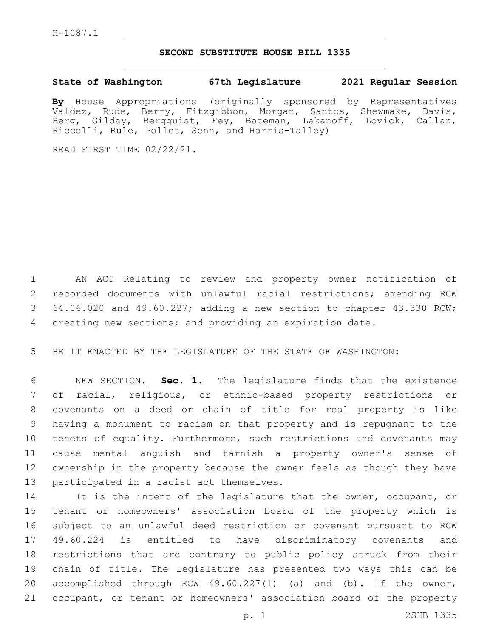## **SECOND SUBSTITUTE HOUSE BILL 1335**

## **State of Washington 67th Legislature 2021 Regular Session**

**By** House Appropriations (originally sponsored by Representatives Valdez, Rude, Berry, Fitzgibbon, Morgan, Santos, Shewmake, Davis, Berg, Gilday, Bergquist, Fey, Bateman, Lekanoff, Lovick, Callan, Riccelli, Rule, Pollet, Senn, and Harris-Talley)

READ FIRST TIME 02/22/21.

 AN ACT Relating to review and property owner notification of recorded documents with unlawful racial restrictions; amending RCW 64.06.020 and 49.60.227; adding a new section to chapter 43.330 RCW; creating new sections; and providing an expiration date.

BE IT ENACTED BY THE LEGISLATURE OF THE STATE OF WASHINGTON:

 NEW SECTION. **Sec. 1.** The legislature finds that the existence of racial, religious, or ethnic-based property restrictions or covenants on a deed or chain of title for real property is like having a monument to racism on that property and is repugnant to the tenets of equality. Furthermore, such restrictions and covenants may cause mental anguish and tarnish a property owner's sense of ownership in the property because the owner feels as though they have participated in a racist act themselves.

14 It is the intent of the legislature that the owner, occupant, or tenant or homeowners' association board of the property which is subject to an unlawful deed restriction or covenant pursuant to RCW 49.60.224 is entitled to have discriminatory covenants and restrictions that are contrary to public policy struck from their chain of title. The legislature has presented two ways this can be 20 accomplished through RCW 49.60.227(1) (a) and (b). If the owner, occupant, or tenant or homeowners' association board of the property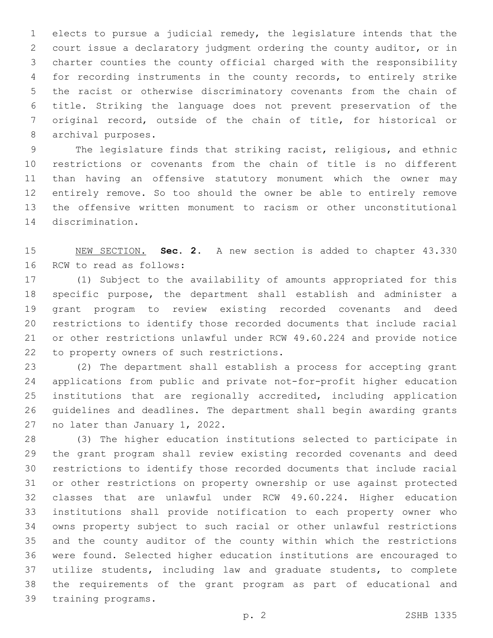elects to pursue a judicial remedy, the legislature intends that the court issue a declaratory judgment ordering the county auditor, or in charter counties the county official charged with the responsibility for recording instruments in the county records, to entirely strike the racist or otherwise discriminatory covenants from the chain of title. Striking the language does not prevent preservation of the original record, outside of the chain of title, for historical or 8 archival purposes.

 The legislature finds that striking racist, religious, and ethnic restrictions or covenants from the chain of title is no different than having an offensive statutory monument which the owner may entirely remove. So too should the owner be able to entirely remove the offensive written monument to racism or other unconstitutional 14 discrimination.

 NEW SECTION. **Sec. 2.** A new section is added to chapter 43.330 16 RCW to read as follows:

 (1) Subject to the availability of amounts appropriated for this specific purpose, the department shall establish and administer a grant program to review existing recorded covenants and deed restrictions to identify those recorded documents that include racial or other restrictions unlawful under RCW 49.60.224 and provide notice 22 to property owners of such restrictions.

 (2) The department shall establish a process for accepting grant applications from public and private not-for-profit higher education institutions that are regionally accredited, including application guidelines and deadlines. The department shall begin awarding grants 27 no later than January 1, 2022.

 (3) The higher education institutions selected to participate in the grant program shall review existing recorded covenants and deed restrictions to identify those recorded documents that include racial or other restrictions on property ownership or use against protected classes that are unlawful under RCW 49.60.224. Higher education institutions shall provide notification to each property owner who owns property subject to such racial or other unlawful restrictions and the county auditor of the county within which the restrictions were found. Selected higher education institutions are encouraged to utilize students, including law and graduate students, to complete the requirements of the grant program as part of educational and 39 training programs.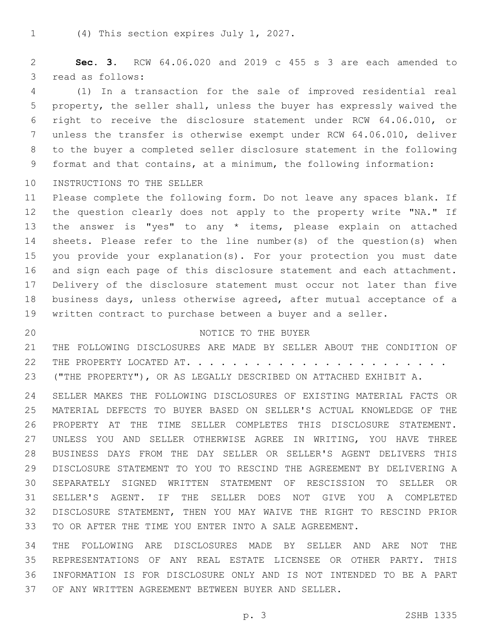1 (4) This section expires July 1, 2027.

 **Sec. 3.** RCW 64.06.020 and 2019 c 455 s 3 are each amended to 3 read as follows:

 (1) In a transaction for the sale of improved residential real property, the seller shall, unless the buyer has expressly waived the right to receive the disclosure statement under RCW 64.06.010, or unless the transfer is otherwise exempt under RCW 64.06.010, deliver to the buyer a completed seller disclosure statement in the following format and that contains, at a minimum, the following information:

10 INSTRUCTIONS TO THE SELLER

 Please complete the following form. Do not leave any spaces blank. If 12 the question clearly does not apply to the property write "NA." If the answer is "yes" to any \* items, please explain on attached sheets. Please refer to the line number(s) of the question(s) when you provide your explanation(s). For your protection you must date and sign each page of this disclosure statement and each attachment. Delivery of the disclosure statement must occur not later than five business days, unless otherwise agreed, after mutual acceptance of a written contract to purchase between a buyer and a seller.

## 20 NOTICE TO THE BUYER

 THE FOLLOWING DISCLOSURES ARE MADE BY SELLER ABOUT THE CONDITION OF THE PROPERTY LOCATED AT. . . . . . . . . . . . . . . . . . . . . . . ("THE PROPERTY"), OR AS LEGALLY DESCRIBED ON ATTACHED EXHIBIT A.

 SELLER MAKES THE FOLLOWING DISCLOSURES OF EXISTING MATERIAL FACTS OR MATERIAL DEFECTS TO BUYER BASED ON SELLER'S ACTUAL KNOWLEDGE OF THE PROPERTY AT THE TIME SELLER COMPLETES THIS DISCLOSURE STATEMENT. UNLESS YOU AND SELLER OTHERWISE AGREE IN WRITING, YOU HAVE THREE BUSINESS DAYS FROM THE DAY SELLER OR SELLER'S AGENT DELIVERS THIS DISCLOSURE STATEMENT TO YOU TO RESCIND THE AGREEMENT BY DELIVERING A SEPARATELY SIGNED WRITTEN STATEMENT OF RESCISSION TO SELLER OR SELLER'S AGENT. IF THE SELLER DOES NOT GIVE YOU A COMPLETED DISCLOSURE STATEMENT, THEN YOU MAY WAIVE THE RIGHT TO RESCIND PRIOR TO OR AFTER THE TIME YOU ENTER INTO A SALE AGREEMENT.

 THE FOLLOWING ARE DISCLOSURES MADE BY SELLER AND ARE NOT THE REPRESENTATIONS OF ANY REAL ESTATE LICENSEE OR OTHER PARTY. THIS INFORMATION IS FOR DISCLOSURE ONLY AND IS NOT INTENDED TO BE A PART OF ANY WRITTEN AGREEMENT BETWEEN BUYER AND SELLER.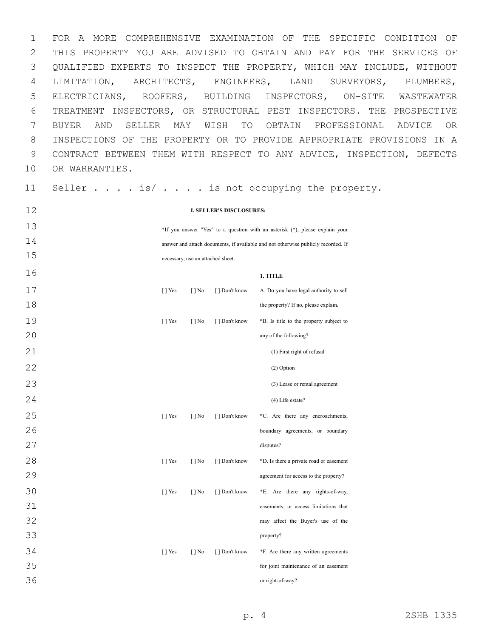FOR A MORE COMPREHENSIVE EXAMINATION OF THE SPECIFIC CONDITION OF THIS PROPERTY YOU ARE ADVISED TO OBTAIN AND PAY FOR THE SERVICES OF QUALIFIED EXPERTS TO INSPECT THE PROPERTY, WHICH MAY INCLUDE, WITHOUT LIMITATION, ARCHITECTS, ENGINEERS, LAND SURVEYORS, PLUMBERS, ELECTRICIANS, ROOFERS, BUILDING INSPECTORS, ON-SITE WASTEWATER TREATMENT INSPECTORS, OR STRUCTURAL PEST INSPECTORS. THE PROSPECTIVE BUYER AND SELLER MAY WISH TO OBTAIN PROFESSIONAL ADVICE OR INSPECTIONS OF THE PROPERTY OR TO PROVIDE APPROPRIATE PROVISIONS IN A CONTRACT BETWEEN THEM WITH RESPECT TO ANY ADVICE, INSPECTION, DEFECTS 10 OR WARRANTIES.

11 Seller . . . . is/ . . . . is not occupying the property.

| 12 | <b>I. SELLER'S DISCLOSURES:</b>                                                   |                          |                                   |                                         |  |  |  |  |
|----|-----------------------------------------------------------------------------------|--------------------------|-----------------------------------|-----------------------------------------|--|--|--|--|
| 13 | *If you answer "Yes" to a question with an asterisk (*), please explain your      |                          |                                   |                                         |  |  |  |  |
| 14 | answer and attach documents, if available and not otherwise publicly recorded. If |                          |                                   |                                         |  |  |  |  |
| 15 |                                                                                   |                          | necessary, use an attached sheet. |                                         |  |  |  |  |
| 16 |                                                                                   |                          |                                   | 1. TITLE                                |  |  |  |  |
| 17 | $\lceil \cdot \rceil$ Yes                                                         | $\lceil \cdot \rceil$ No | [] Don't know                     | A. Do you have legal authority to sell  |  |  |  |  |
| 18 |                                                                                   |                          |                                   | the property? If no, please explain.    |  |  |  |  |
| 19 | $\lceil$   Yes                                                                    | $\lceil \cdot \rceil$ No | [ ] Don't know                    | *B. Is title to the property subject to |  |  |  |  |
| 20 |                                                                                   |                          |                                   | any of the following?                   |  |  |  |  |
| 21 |                                                                                   |                          |                                   | (1) First right of refusal              |  |  |  |  |
| 22 |                                                                                   |                          |                                   | (2) Option                              |  |  |  |  |
| 23 |                                                                                   |                          |                                   | (3) Lease or rental agreement           |  |  |  |  |
| 24 |                                                                                   |                          |                                   | $(4)$ Life estate?                      |  |  |  |  |
| 25 | $\lceil \cdot \rceil$ Yes                                                         | $\lceil \cdot \rceil$ No | [] Don't know                     | *C. Are there any encroachments,        |  |  |  |  |
| 26 |                                                                                   |                          |                                   | boundary agreements, or boundary        |  |  |  |  |
| 27 |                                                                                   |                          |                                   | disputes?                               |  |  |  |  |
| 28 | [ ] Yes                                                                           | $[ ]$ No                 | [] Don't know                     | *D. Is there a private road or easement |  |  |  |  |
| 29 |                                                                                   |                          |                                   | agreement for access to the property?   |  |  |  |  |
| 30 | [ ] Yes                                                                           | $[$   No                 | [] Don't know                     | *E. Are there any rights-of-way,        |  |  |  |  |
| 31 |                                                                                   |                          |                                   | easements, or access limitations that   |  |  |  |  |
| 32 |                                                                                   |                          |                                   | may affect the Buyer's use of the       |  |  |  |  |
| 33 |                                                                                   |                          |                                   | property?                               |  |  |  |  |
| 34 | [ ] Yes                                                                           | $[ ]$ No                 | [] Don't know                     | *F. Are there any written agreements    |  |  |  |  |
| 35 |                                                                                   |                          |                                   | for joint maintenance of an easement    |  |  |  |  |
| 36 |                                                                                   |                          |                                   | or right-of-way?                        |  |  |  |  |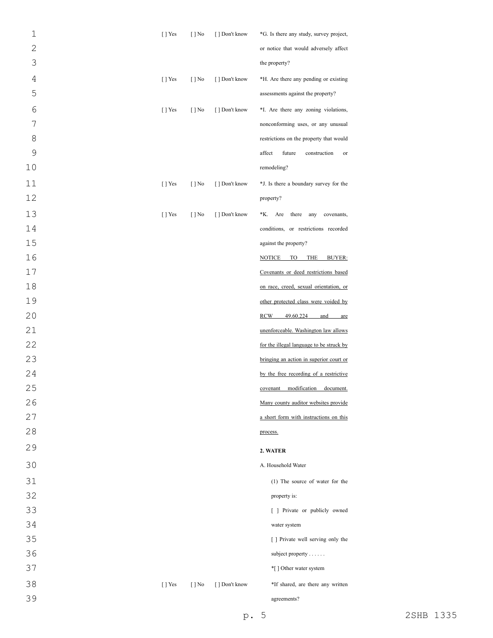| $\mathbf 1$    | $[ ]$ Yes | $[ ]$ No                 | [ ] Don't know | *G. Is there any study, survey project,       |
|----------------|-----------|--------------------------|----------------|-----------------------------------------------|
| $\overline{c}$ |           |                          |                | or notice that would adversely affect         |
| 3              |           |                          |                | the property?                                 |
| $\overline{4}$ | $[ ]$ Yes | $[ ]$ No                 | [ ] Don't know | *H. Are there any pending or existing         |
| 5              |           |                          |                | assessments against the property?             |
| 6              | $[$ ] Yes | $[ ]$ No                 | [ ] Don't know | *I. Are there any zoning violations,          |
| 7              |           |                          |                | nonconforming uses, or any unusual            |
| 8              |           |                          |                | restrictions on the property that would       |
| 9              |           |                          |                | affect<br>future<br>construction<br>or        |
| $10$           |           |                          |                | remodeling?                                   |
| 11             | $[$ T Yes | $[ ]$ No                 | [ ] Don't know | *J. Is there a boundary survey for the        |
| 12             |           |                          |                | property?                                     |
| 13             | $[$ T Yes | $[ ]$ No                 | [ ] Don't know | there<br>*K. Are<br>any<br>covenants,         |
| 14             |           |                          |                | conditions, or restrictions recorded          |
| 15             |           |                          |                | against the property?                         |
| 16             |           |                          |                | <b>THE</b><br><b>NOTICE</b><br>TO T<br>BUYER: |
| 17             |           |                          |                | Covenants or deed restrictions based          |
| 18             |           |                          |                | on race, creed, sexual orientation, or        |
| 19             |           |                          |                | other protected class were voided by          |
| 20             |           |                          |                | <b>RCW</b><br>49.60.224<br>and<br>are         |
| 21             |           |                          |                | unenforceable. Washington law allows          |
| 22             |           |                          |                | for the illegal language to be struck by      |
| 23             |           |                          |                | bringing an action in superior court or       |
| 24             |           |                          |                | by the free recording of a restrictive        |
| 25             |           |                          |                | modification document.<br>covenant            |
| 26             |           |                          |                | Many county auditor websites provide          |
| 27             |           |                          |                | a short form with instructions on this        |
| 28             |           |                          |                | process.                                      |
| 29             |           |                          |                | 2. WATER                                      |
| 30             |           |                          |                | A. Household Water                            |
| 31             |           |                          |                | (1) The source of water for the               |
| 32             |           |                          |                | property is:                                  |
| 33             |           |                          |                | [ ] Private or publicly owned                 |
| 34             |           |                          |                | water system                                  |
| 35             |           |                          |                | [ ] Private well serving only the             |
| 36             |           |                          |                | subject property                              |
| 37             |           |                          |                | *[ ] Other water system                       |
| 38             | [ ] Yes   | $\lceil \cdot \rceil$ No | [ ] Don't know | *If shared, are there any written             |
| 39             |           |                          |                | agreements?                                   |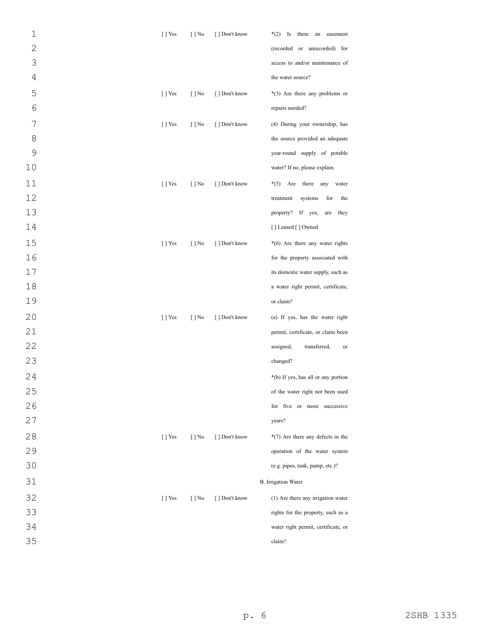| $\mathbf 1$    | $\lceil$   Yes            | $[ ]$ No                 | [] Don't know  | $*(2)$ Is there an easement         |
|----------------|---------------------------|--------------------------|----------------|-------------------------------------|
| $\overline{c}$ |                           |                          |                | (recorded or unrecorded) for        |
| 3              |                           |                          |                | access to and/or maintenance of     |
| 4              |                           |                          |                | the water source?                   |
| 5              | $[$ T Yes                 | $[$ ] No                 | [ ] Don't know | *(3) Are there any problems or      |
| 6              |                           |                          |                | repairs needed?                     |
| 7              | $[$ T Yes                 | $[$ ] No                 | [ ] Don't know | (4) During your ownership, has      |
| 8              |                           |                          |                | the source provided an adequate     |
| $\mathcal{G}$  |                           |                          |                | year-round supply of potable        |
| 10             |                           |                          |                | water? If no, please explain.       |
| 11             | $[$ T Yes                 | $\lceil \cdot \rceil$ No | [ ] Don't know | $*(5)$<br>Are there<br>any<br>water |
| 12             |                           |                          |                | treatment<br>systems<br>for<br>the  |
| 13             |                           |                          |                | property?<br>If yes,<br>are<br>they |
| 14             |                           |                          |                | [] Leased [] Owned                  |
| 15             | $\lceil \cdot \rceil$ Yes | $[$ ] No                 | [ ] Don't know | *(6) Are there any water rights     |
| 16             |                           |                          |                | for the property associated with    |
| 17             |                           |                          |                | its domestic water supply, such as  |
| 18             |                           |                          |                | a water right permit, certificate,  |
| 19             |                           |                          |                | or claim?                           |
| 20             | $[$ T Yes                 | $[$ ] No                 | [ ] Don't know | (a) If yes, has the water right     |
| 21             |                           |                          |                | permit, certificate, or claim been  |
| 22             |                           |                          |                | transferred,<br>assigned,<br>or     |
| 23             |                           |                          |                | changed?                            |
| 24             |                           |                          |                | *(b) If yes, has all or any portion |
| 25             |                           |                          |                | of the water right not been used    |
| 26             |                           |                          |                | for five or more successive         |
| 27             |                           |                          |                | years?                              |
| 28             | $\lceil$   Yes            | $[$ ] No                 | [ ] Don't know | $*(7)$ Are there any defects in the |
| 29             |                           |                          |                | operation of the water system       |
| 30             |                           |                          |                | (e.g. pipes, tank, pump, etc.)?     |
| 31             |                           |                          |                | <b>B.</b> Irrigation Water          |
| 32             | $[$ T Yes                 | $[$ ] No                 | [ ] Don't know | (1) Are there any irrigation water  |
| 33             |                           |                          |                | rights for the property, such as a  |
| 34             |                           |                          |                | water right permit, certificate, or |
| 35             |                           |                          |                | claim?                              |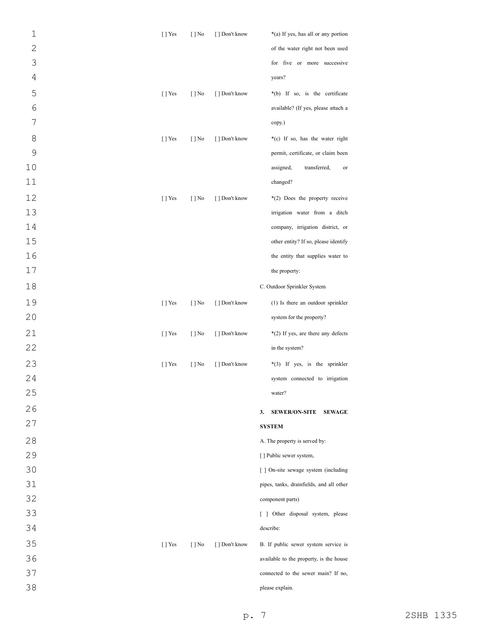| $\mathbf 1$    | $[ ]$ Yes      | $[ ]$ No                 | [ ] Don't know | *(a) If yes, has all or any portion         |
|----------------|----------------|--------------------------|----------------|---------------------------------------------|
| $\overline{2}$ |                |                          |                | of the water right not been used            |
| 3              |                |                          |                | for five or more successive                 |
| $\sqrt{4}$     |                |                          |                | years?                                      |
| 5              | $[ ]$ Yes      | $[ ]$ No                 | [ ] Don't know | *(b) If so, is the certificate              |
| $\sqrt{6}$     |                |                          |                | available? (If yes, please attach a         |
| 7              |                |                          |                | copy.)                                      |
| 8              | $[$ T Yes      | $[ ]$ No                 | [ ] Don't know | *(c) If so, has the water right             |
| $\mathcal{G}$  |                |                          |                | permit, certificate, or claim been          |
| 10             |                |                          |                | assigned,<br>transferred,<br>or             |
| 11             |                |                          |                | changed?                                    |
| 12             | $[ ]$ Yes      | $[ ]$ No                 | [ ] Don't know | *(2) Does the property receive              |
| 13             |                |                          |                | irrigation water from a ditch               |
| 14             |                |                          |                | company, irrigation district, or            |
| 15             |                |                          |                | other entity? If so, please identify        |
| 16             |                |                          |                | the entity that supplies water to           |
| 17             |                |                          |                | the property:                               |
| 18             |                |                          |                | C. Outdoor Sprinkler System                 |
| 19             | $[$ T Yes      | $[ ]$ No                 | [ ] Don't know | (1) Is there an outdoor sprinkler           |
| 20             |                |                          |                | system for the property?                    |
| 21             | $[ ]$ Yes      | $[ ]$ No                 | [ ] Don't know | *(2) If yes, are there any defects          |
| 22             |                |                          |                | in the system?                              |
| 23             | $\lceil$   Yes | $[ ]$ No                 | [ ] Don't know | *(3) If yes, is the sprinkler               |
| 24             |                |                          |                | system connected to irrigation              |
| 25             |                |                          |                | water?                                      |
| 26             |                |                          |                | <b>SEWER/ON-SITE</b><br><b>SEWAGE</b><br>3. |
| 27             |                |                          |                | <b>SYSTEM</b>                               |
| 28             |                |                          |                | A. The property is served by:               |
| 29             |                |                          |                | [] Public sewer system,                     |
| 30             |                |                          |                | [ ] On-site sewage system (including        |
| 31             |                |                          |                | pipes, tanks, drainfields, and all other    |
| 32             |                |                          |                | component parts)                            |
| 33             |                |                          |                | [ ] Other disposal system, please           |
| 34             |                |                          |                | describe:                                   |
| 35             | [ ] Yes        | $\lceil \cdot \rceil$ No | [ ] Don't know | B. If public sewer system service is        |
| 36             |                |                          |                | available to the property, is the house     |
| 37             |                |                          |                | connected to the sewer main? If no,         |
| 38             |                |                          |                | please explain.                             |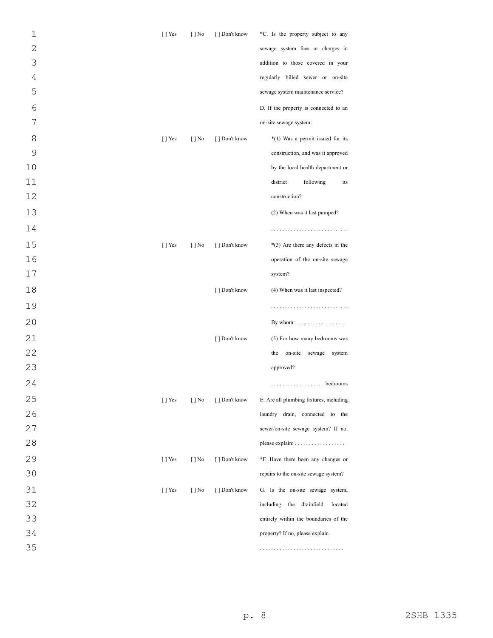| $\mathbf 1$    | $[$ ] Yes                 | $[ ]$ No | [ ] Don't know | *C. Is the property subject to any       |
|----------------|---------------------------|----------|----------------|------------------------------------------|
| $\overline{2}$ |                           |          |                | sewage system fees or charges in         |
| 3              |                           |          |                | addition to those covered in your        |
| 4              |                           |          |                | regularly billed sewer or on-site        |
| 5              |                           |          |                | sewage system maintenance service?       |
| 6              |                           |          |                | D. If the property is connected to an    |
| 7              |                           |          |                | on-site sewage system:                   |
| 8              | $[$ T Yes                 | $[ ]$ No | [ ] Don't know | *(1) Was a permit issued for its         |
| 9              |                           |          |                | construction, and was it approved        |
| 10             |                           |          |                | by the local health department or        |
| 11             |                           |          |                | district<br>following<br>its             |
| 12             |                           |          |                | construction?                            |
| 13             |                           |          |                | (2) When was it last pumped?             |
| 14             |                           |          |                |                                          |
| 15             | $[$ T Yes                 | $[ ]$ No | [ ] Don't know | $*(3)$ Are there any defects in the      |
| 16             |                           |          |                | operation of the on-site sewage          |
| 17             |                           |          |                | system?                                  |
| 18             |                           |          | [ ] Don't know | (4) When was it last inspected?          |
| 19             |                           |          |                |                                          |
| 20             |                           |          |                | By whom: $\dots \dots \dots \dots \dots$ |
| 21             |                           |          | [ ] Don't know | (5) For how many bedrooms was            |
| 22             |                           |          |                | on-site sewage<br>the<br>system          |
| 23             |                           |          |                | approved?                                |
| 24             |                           |          |                | . bedrooms                               |
| 25             | $[$ ] Yes                 | $[$   No | [ ] Don't know | E. Are all plumbing fixtures, including  |
| 26             |                           |          |                | laundry drain, connected to the          |
| 27             |                           |          |                | sewer/on-site sewage system? If no,      |
| 28             |                           |          |                |                                          |
| 29             | $[$ T Yes                 | $[ ]$ No | [ ] Don't know | *F. Have there been any changes or       |
| 30             |                           |          |                | repairs to the on-site sewage system?    |
| 31             | $\lceil \cdot \rceil$ Yes | $[ ]$ No | [ ] Don't know | G. Is the on-site sewage system,         |
| 32             |                           |          |                | including the drainfield, located        |
| 33             |                           |          |                | entirely within the boundaries of the    |
| 34             |                           |          |                | property? If no, please explain.         |
| 35             |                           |          |                |                                          |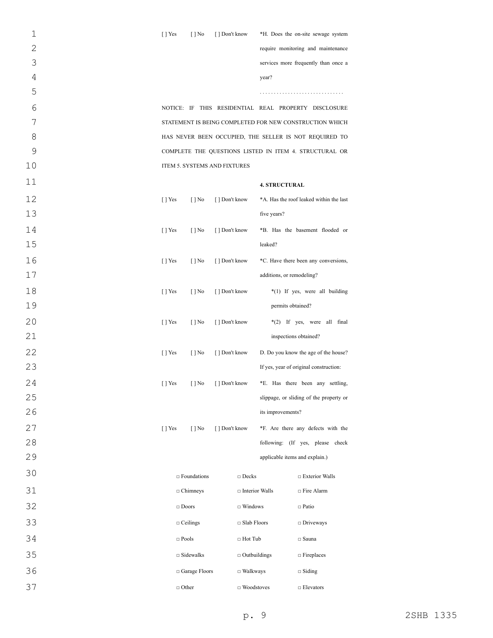| $\mathbf 1$    | $[$ T Yes | $\lceil \cdot \rceil$ No     | [ ] Don't know |                       |                                | *H. Does the on-site sewage system                      |
|----------------|-----------|------------------------------|----------------|-----------------------|--------------------------------|---------------------------------------------------------|
| $\overline{2}$ |           |                              |                |                       |                                | require monitoring and maintenance                      |
| 3              |           |                              |                |                       |                                | services more frequently than once a                    |
| $\overline{4}$ |           |                              |                |                       | year?                          |                                                         |
| 5              |           |                              |                |                       |                                |                                                         |
| 6              |           |                              |                |                       |                                | NOTICE: IF THIS RESIDENTIAL REAL PROPERTY DISCLOSURE    |
| 7              |           |                              |                |                       |                                | STATEMENT IS BEING COMPLETED FOR NEW CONSTRUCTION WHICH |
| 8              |           |                              |                |                       |                                | HAS NEVER BEEN OCCUPIED, THE SELLER IS NOT REQUIRED TO  |
| 9              |           |                              |                |                       |                                | COMPLETE THE QUESTIONS LISTED IN ITEM 4. STRUCTURAL OR  |
| 10             |           | ITEM 5. SYSTEMS AND FIXTURES |                |                       |                                |                                                         |
| 11             |           |                              |                |                       | <b>4. STRUCTURAL</b>           |                                                         |
| 12             | $[$ ] Yes | $\lceil \cdot \rceil$ No     | [ ] Don't know |                       |                                | *A. Has the roof leaked within the last                 |
| 13             |           |                              |                |                       | five years?                    |                                                         |
| 14             | $[$ ] Yes | $\lceil \cdot \rceil$ No     | [] Don't know  |                       |                                | *B. Has the basement flooded or                         |
| 15             |           |                              |                |                       | leaked?                        |                                                         |
| 16             | $[$ ] Yes | $\lceil \cdot \rceil$ No     | [ ] Don't know |                       |                                | *C. Have there been any conversions,                    |
| 17             |           |                              |                |                       | additions, or remodeling?      |                                                         |
| 18             | $[$ T Yes | $\lceil \cdot \rceil$ No     | [ ] Don't know |                       |                                | *(1) If yes, were all building                          |
| 19             |           |                              |                |                       | permits obtained?              |                                                         |
| 20             | $[$ T Yes | $[ ]$ No                     | [] Don't know  |                       |                                | *(2) If yes, were all final                             |
| 21             |           |                              |                |                       | inspections obtained?          |                                                         |
| 22             | $[$ T Yes | $[ ]$ No                     | [ ] Don't know |                       |                                | D. Do you know the age of the house?                    |
| 23             |           |                              |                |                       |                                | If yes, year of original construction:                  |
| 24             | $[$ T Yes | $[ ]$ No                     | [ ] Don't know |                       |                                | *E. Has there been any settling,                        |
| 25             |           |                              |                |                       |                                | slippage, or sliding of the property or                 |
| 26             |           |                              |                |                       | its improvements?              |                                                         |
| 27             | [ ] Yes   | $[$   No                     | [ ] Don't know |                       |                                | *F. Are there any defects with the                      |
| 28             |           |                              |                |                       |                                | following: (If yes, please check                        |
| 29             |           |                              |                |                       | applicable items and explain.) |                                                         |
| 30             |           | $\Box$ Foundations           |                | $\Box$ Decks          |                                | $\Box$ Exterior Walls                                   |
| 31             |           | $\Box$ Chimneys              |                | $\Box$ Interior Walls |                                | $\Box$ Fire Alarm                                       |
| 32             |           | $\Box$ Doors                 |                | $\Box$ Windows        |                                | $\Box$ Patio                                            |
| 33             |           | $\Box$ Ceilings              |                | □ Slab Floors         |                                | $\Box$ Driveways                                        |
| 34             |           | $\Box$ Pools                 |                | $\Box$ Hot Tub        |                                | $\Box$ Sauna                                            |
| 35             |           | $\Box$ Sidewalks             |                | $\Box$ Outbuildings   |                                | $\Box$ Fireplaces                                       |
| 36             |           | □ Garage Floors              |                | $\Box$ Walkways       |                                | $\Box$ Siding                                           |
| 37             |           | $\Box$ Other                 |                | $\Box$ Woodstoves     |                                | $\Box$ Elevators                                        |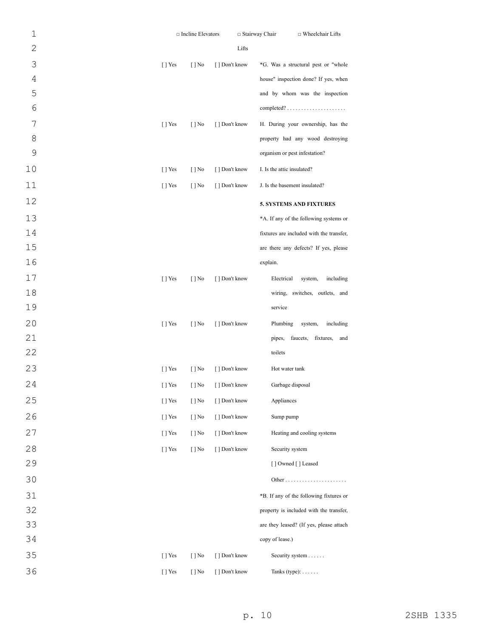| $\mathbf 1$    |                       | □ Incline Elevators      |                | $\Box$ Stairway Chair | $\Box$ Wheelchair Lifts                                |
|----------------|-----------------------|--------------------------|----------------|-----------------------|--------------------------------------------------------|
| $\overline{c}$ |                       |                          |                | Lifts                 |                                                        |
| 3              | [ ] Yes               | $[ ]$ No                 | [ ] Don't know |                       | *G. Was a structural pest or "whole                    |
| $\overline{4}$ |                       |                          |                |                       | house" inspection done? If yes, when                   |
| 5              |                       |                          |                |                       | and by whom was the inspection                         |
| 6              |                       |                          |                |                       | $completed? \ldots \ldots \ldots \ldots \ldots \ldots$ |
| 7              | $[ ]$ Yes             | $[ ]$ No                 | [ ] Don't know |                       | H. During your ownership, has the                      |
| 8              |                       |                          |                |                       | property had any wood destroying                       |
| 9              |                       |                          |                |                       | organism or pest infestation?                          |
| 10             | $[ ]$ Yes             | $[ ]$ No                 | [ ] Don't know |                       | I. Is the attic insulated?                             |
| 11             | $[ ]$ Yes             | $[ ]$ No                 | [ ] Don't know |                       | J. Is the basement insulated?                          |
| 12             |                       |                          |                |                       | <b>5. SYSTEMS AND FIXTURES</b>                         |
| 13             |                       |                          |                |                       | *A. If any of the following systems or                 |
| 14             |                       |                          |                |                       | fixtures are included with the transfer,               |
| 15             |                       |                          |                |                       | are there any defects? If yes, please                  |
| 16             |                       |                          |                |                       | explain.                                               |
| 17             | $[ ]$ Yes             | $[ ]$ No                 | [ ] Don't know |                       | Electrical<br>including<br>system,                     |
| $18\,$         |                       |                          |                |                       | wiring, switches, outlets, and                         |
| 19             |                       |                          |                |                       | service                                                |
| 20             | $[ ]$ Yes             | $[ ]$ No                 | [ ] Don't know |                       | Plumbing<br>system,<br>including                       |
| 21             |                       |                          |                |                       | pipes, faucets, fixtures,<br>and                       |
| 22             |                       |                          |                |                       | toilets                                                |
| 23             | $[ ]$ Yes             | $[ ]$ No                 | [ ] Don't know |                       | Hot water tank                                         |
| 24             | [ ] Yes               | $[$ ] No                 | [ ] Don't know |                       | Garbage disposal                                       |
| 25             | $\lceil$   Yes        | $\lceil \cdot \rceil$ No | [ ] Don't know |                       | Appliances                                             |
| 26             | [] Yes                | $[ ]$ No                 | [] Don't know  |                       | Sump pump                                              |
| 27             | $[$ T Yes             | $[ ]$ No                 | [] Don't know  |                       | Heating and cooling systems                            |
| 28             | [] Yes                | $[$   No                 | [] Don't know  |                       | Security system                                        |
| 29             |                       |                          |                |                       | [] Owned [] Leased                                     |
| 30             |                       |                          |                |                       |                                                        |
| 31             |                       |                          |                |                       | *B. If any of the following fixtures or                |
| 32             |                       |                          |                |                       | property is included with the transfer,                |
| 33             |                       |                          |                |                       | are they leased? (If yes, please attach                |
| 34             |                       |                          |                |                       | copy of lease.)                                        |
| 35             | $\left[\ \right]$ Yes | $\lceil \cdot \rceil$ No | [ ] Don't know |                       | Security system                                        |
| 36             | [] Yes                | $[ ]$ No                 | [] Don't know  |                       | Tanks (type): $\dots$ .                                |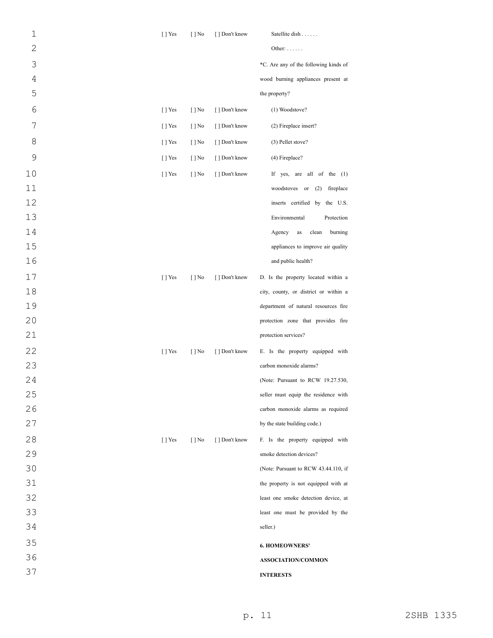| $\mathbf 1$    | [ ] Yes        | $\lceil \cdot \rceil$ No | [] Don't know  | Satellite dish                         |
|----------------|----------------|--------------------------|----------------|----------------------------------------|
| $\overline{2}$ |                |                          |                | Other: $\dots$                         |
| 3              |                |                          |                | *C. Are any of the following kinds of  |
| 4              |                |                          |                | wood burning appliances present at     |
| 5              |                |                          |                | the property?                          |
| 6              | [ ] Yes        | $\lceil \cdot \rceil$ No | [ ] Don't know | (1) Woodstove?                         |
| 7              | $\lceil$   Yes | $[ ]$ No                 | [ ] Don't know | (2) Fireplace insert?                  |
| 8              | [ ] Yes        | $[ ]$ No                 | [ ] Don't know | (3) Pellet stove?                      |
| 9              | $[$ T Yes      | $\lceil \cdot \rceil$ No | [ ] Don't know | $(4)$ Fireplace?                       |
| 10             | [ ] Yes        | $\lceil \cdot \rceil$ No | [ ] Don't know | If yes, are all of the (1)             |
| 11             |                |                          |                | woodstoves or (2) fireplace            |
| 12             |                |                          |                | inserts certified by the U.S.          |
| 13             |                |                          |                | Environmental<br>Protection            |
| 14             |                |                          |                | Agency<br>$\rm as$<br>clean<br>burning |
| 15             |                |                          |                | appliances to improve air quality      |
| 16             |                |                          |                | and public health?                     |
| 17             | [ ] Yes        | $[$   No                 | [ ] Don't know | D. Is the property located within a    |
| 18             |                |                          |                | city, county, or district or within a  |
| 19             |                |                          |                | department of natural resources fire   |
| 20             |                |                          |                | protection zone that provides fire     |
| 21             |                |                          |                | protection services?                   |
| 22             | [ ] Yes        | $[ ]$ No                 | [ ] Don't know | E. Is the property equipped with       |
| 23             |                |                          |                | carbon monoxide alarms?                |
| 24             |                |                          |                | (Note: Pursuant to RCW 19.27.530,      |
| 25             |                |                          |                | seller must equip the residence with   |
| 26             |                |                          |                | carbon monoxide alarms as required     |
| 27             |                |                          |                | by the state building code.)           |
| 28             | [ ] Yes        | $\lceil \cdot \rceil$ No | [ ] Don't know | F. Is the property equipped with       |
| 29             |                |                          |                | smoke detection devices?               |
| 30             |                |                          |                | (Note: Pursuant to RCW 43.44.110, if   |
| 31             |                |                          |                | the property is not equipped with at   |
| 32             |                |                          |                | least one smoke detection device, at   |
| 33             |                |                          |                | least one must be provided by the      |
| 34             |                |                          |                | seller.)                               |
| 35             |                |                          |                | <b>6. HOMEOWNERS'</b>                  |
| 36             |                |                          |                | ASSOCIATION/COMMON                     |
| 37             |                |                          |                | <b>INTERESTS</b>                       |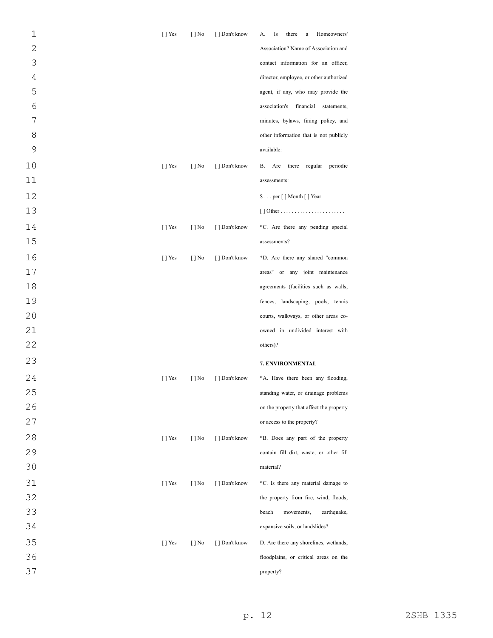| 1              | $[$ T Yes      | $\lceil \cdot \rceil$ No | [ ] Don't know | Homeowners'<br>Is<br>there<br>А.<br>$\rm{a}$ |
|----------------|----------------|--------------------------|----------------|----------------------------------------------|
| $\overline{2}$ |                |                          |                | Association? Name of Association and         |
| 3              |                |                          |                | contact information for an officer,          |
| 4              |                |                          |                | director, employee, or other authorized      |
| 5              |                |                          |                | agent, if any, who may provide the           |
| $\sqrt{6}$     |                |                          |                | association's<br>financial<br>statements,    |
| 7              |                |                          |                | minutes, bylaws, fining policy, and          |
| 8              |                |                          |                | other information that is not publicly       |
| 9              |                |                          |                | available:                                   |
| 10             | $[$ T Yes      | $\lceil \cdot \rceil$ No | [ ] Don't know | there regular<br>periodic<br>В.<br>Are       |
| 11             |                |                          |                | assessments:                                 |
| 12             |                |                          |                | \$ per [ ] Month [ ] Year                    |
| 13             |                |                          |                |                                              |
| 14             | $\lceil$   Yes | $\lceil \cdot \rceil$ No | [ ] Don't know | *C. Are there any pending special            |
| 15             |                |                          |                | assessments?                                 |
| 16             | $[$ T Yes      | $[$   No                 | [ ] Don't know | *D. Are there any shared "common             |
| 17             |                |                          |                | areas" or any joint maintenance              |
| 18             |                |                          |                | agreements (facilities such as walls,        |
| 19             |                |                          |                | fences, landscaping, pools, tennis           |
| 20             |                |                          |                | courts, walkways, or other areas co-         |
| 21             |                |                          |                | owned in undivided interest with             |
| 22             |                |                          |                | others)?                                     |
| 23             |                |                          |                | 7. ENVIRONMENTAL                             |
| 24             | $[$ T Yes      | $[ ]$ No                 | [ ] Don't know | *A. Have there been any flooding,            |
| 25             |                |                          |                | standing water, or drainage problems         |
| 26             |                |                          |                | on the property that affect the property     |
| 27             |                |                          |                | or access to the property?                   |
| 28             | $[$ ] Yes      | $\lceil \cdot \rceil$ No | [] Don't know  | *B. Does any part of the property            |
| 29             |                |                          |                | contain fill dirt, waste, or other fill      |
| 30             |                |                          |                | material?                                    |
| 31             | $[ ]$ Yes      | $[ ]$ No                 | [ ] Don't know | *C. Is there any material damage to          |
| 32             |                |                          |                | the property from fire, wind, floods,        |
| 33             |                |                          |                | beach<br>earthquake,<br>movements,           |
| 34             |                |                          |                | expansive soils, or landslides?              |
| 35             | $[$ ] Yes      | $[ ]$ No                 | [ ] Don't know | D. Are there any shorelines, wetlands,       |
| 36             |                |                          |                | floodplains, or critical areas on the        |
| 37             |                |                          |                | property?                                    |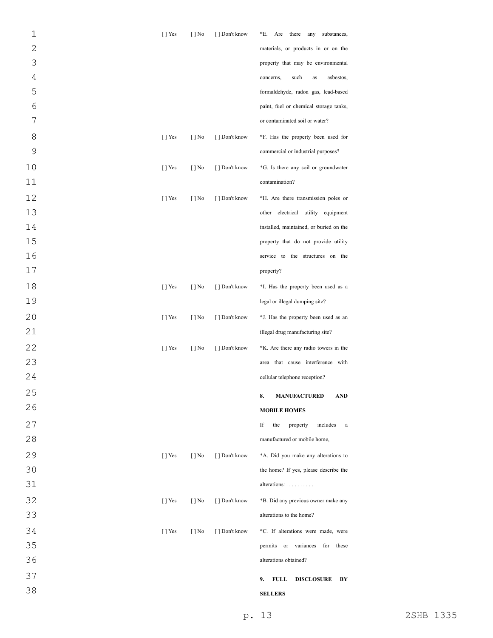| $\mathbf 1$    | $[$ ] Yes | $[$   No                 | [ ] Don't know | *E.<br>Are there any<br>substances,           |
|----------------|-----------|--------------------------|----------------|-----------------------------------------------|
| $\overline{2}$ |           |                          |                | materials, or products in or on the           |
| 3              |           |                          |                | property that may be environmental            |
| $\sqrt{4}$     |           |                          |                | such<br>asbestos,<br>concerns,<br>as          |
| 5              |           |                          |                | formaldehyde, radon gas, lead-based           |
| 6              |           |                          |                | paint, fuel or chemical storage tanks,        |
| 7              |           |                          |                | or contaminated soil or water?                |
| 8              | $[$ T Yes | $[ ]$ No                 | [ ] Don't know | *F. Has the property been used for            |
| 9              |           |                          |                | commercial or industrial purposes?            |
| 10             | $[$ T Yes | $[ ]$ No                 | [] Don't know  | *G. Is there any soil or groundwater          |
| 11             |           |                          |                | contamination?                                |
| 12             | $[$ T Yes | $[ ]$ No                 | [] Don't know  | *H. Are there transmission poles or           |
| 13             |           |                          |                | other electrical utility equipment            |
| 14             |           |                          |                | installed, maintained, or buried on the       |
| 15             |           |                          |                | property that do not provide utility          |
| 16             |           |                          |                | service to the structures on the              |
| 17             |           |                          |                | property?                                     |
| 18             | $[$ ] Yes | $[ ]$ No                 | [ ] Don't know | *I. Has the property been used as a           |
| 19             |           |                          |                | legal or illegal dumping site?                |
| 20             | $[$ ] Yes | $[$   No                 | [] Don't know  | *J. Has the property been used as an          |
| 21             |           |                          |                | illegal drug manufacturing site?              |
| 22             | $[$ ] Yes | $[ ]$ No                 | [ ] Don't know | *K. Are there any radio towers in the         |
| 23             |           |                          |                | area that cause interference with             |
| 24             |           |                          |                | cellular telephone reception?                 |
| 25             |           |                          |                | 8.<br><b>MANUFACTURED</b><br>AND              |
| 26             |           |                          |                | <b>MOBILE HOMES</b>                           |
| 27             |           |                          |                | If<br>the<br>property<br>includes<br>$\rm{a}$ |
| 28             |           |                          |                | manufactured or mobile home,                  |
| 29             | $[$ T Yes | $\lceil \cdot \rceil$ No | [ ] Don't know | *A. Did you make any alterations to           |
| 30             |           |                          |                | the home? If yes, please describe the         |
| 31             |           |                          |                | alterations:                                  |
| 32             | $[$ T Yes | $[ ]$ No                 | [ ] Don't know | *B. Did any previous owner make any           |
| 33             |           |                          |                | alterations to the home?                      |
| 34             | $[$ T Yes | $[$ ] No                 | [] Don't know  | *C. If alterations were made, were            |
| 35             |           |                          |                | permits or variances for<br>these             |
| 36             |           |                          |                | alterations obtained?                         |
| 37             |           |                          |                |                                               |
| 38             |           |                          |                | 9.<br><b>FULL</b><br><b>DISCLOSURE</b><br>BY  |
|                |           |                          |                | <b>SELLERS</b>                                |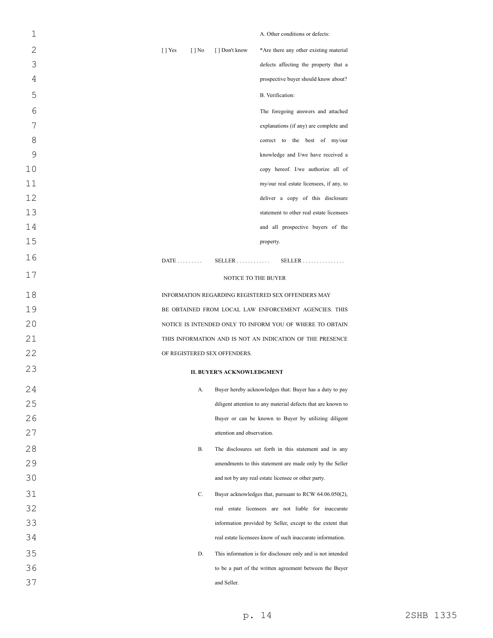| 1  | A. Other conditions or defects:                                                                  |
|----|--------------------------------------------------------------------------------------------------|
| 2  | $\lceil \cdot \rceil$ Yes<br>*Are there any other existing material<br>$[$   No<br>[] Don't know |
| 3  | defects affecting the property that a                                                            |
| 4  | prospective buyer should know about?                                                             |
| 5  | B. Verification:                                                                                 |
| 6  | The foregoing answers and attached                                                               |
| 7  | explanations (if any) are complete and                                                           |
| 8  | correct to the best of my/our                                                                    |
| 9  | knowledge and I/we have received a                                                               |
| 10 | copy hereof. I/we authorize all of                                                               |
| 11 | my/our real estate licensees, if any, to                                                         |
| 12 | deliver a copy of this disclosure                                                                |
| 13 | statement to other real estate licensees                                                         |
| 14 | and all prospective buyers of the                                                                |
| 15 | property.                                                                                        |
| 16 | $DATE \ldots \ldots$<br>$SELLER$<br>$SELLER$                                                     |
| 17 | NOTICE TO THE BUYER                                                                              |
| 18 | INFORMATION REGARDING REGISTERED SEX OFFENDERS MAY                                               |
| 19 | BE OBTAINED FROM LOCAL LAW ENFORCEMENT AGENCIES. THIS                                            |
| 20 | NOTICE IS INTENDED ONLY TO INFORM YOU OF WHERE TO OBTAIN                                         |
| 21 | THIS INFORMATION AND IS NOT AN INDICATION OF THE PRESENCE                                        |
| 22 | OF REGISTERED SEX OFFENDERS.                                                                     |
| 23 | <b>II. BUYER'S ACKNOWLEDGMENT</b>                                                                |
| 24 | Buyer hereby acknowledges that: Buyer has a duty to pay<br>А.                                    |
| 25 | diligent attention to any material defects that are known to                                     |
| 26 | Buyer or can be known to Buyer by utilizing diligent                                             |
| 27 | attention and observation.                                                                       |
| 28 | В.<br>The disclosures set forth in this statement and in any                                     |
| 29 | amendments to this statement are made only by the Seller                                         |
| 30 | and not by any real estate licensee or other party.                                              |
| 31 | C.<br>Buyer acknowledges that, pursuant to RCW 64.06.050(2),                                     |
| 32 | real estate licensees are not liable for inaccurate                                              |
| 33 | information provided by Seller, except to the extent that                                        |
| 34 | real estate licensees know of such inaccurate information.                                       |
| 35 | This information is for disclosure only and is not intended<br>D.                                |
| 36 | to be a part of the written agreement between the Buyer                                          |
| 37 | and Seller.                                                                                      |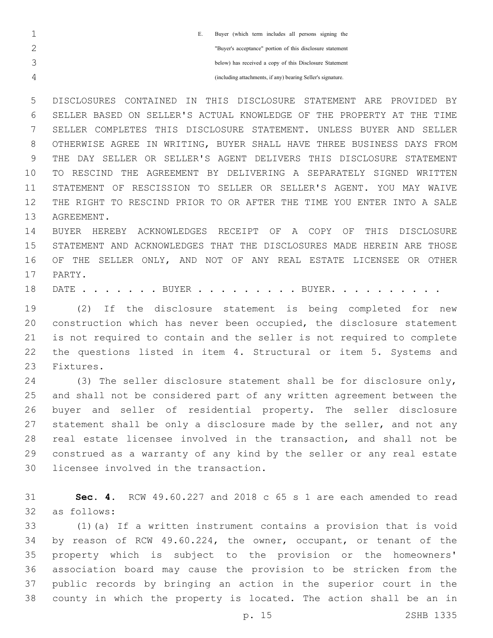| Buyer (which term includes all persons signing the<br>E.    |
|-------------------------------------------------------------|
| "Buyer's acceptance" portion of this disclosure statement   |
| below) has received a copy of this Disclosure Statement     |
| (including attachments, if any) bearing Seller's signature. |

 DISCLOSURES CONTAINED IN THIS DISCLOSURE STATEMENT ARE PROVIDED BY SELLER BASED ON SELLER'S ACTUAL KNOWLEDGE OF THE PROPERTY AT THE TIME SELLER COMPLETES THIS DISCLOSURE STATEMENT. UNLESS BUYER AND SELLER OTHERWISE AGREE IN WRITING, BUYER SHALL HAVE THREE BUSINESS DAYS FROM THE DAY SELLER OR SELLER'S AGENT DELIVERS THIS DISCLOSURE STATEMENT TO RESCIND THE AGREEMENT BY DELIVERING A SEPARATELY SIGNED WRITTEN STATEMENT OF RESCISSION TO SELLER OR SELLER'S AGENT. YOU MAY WAIVE THE RIGHT TO RESCIND PRIOR TO OR AFTER THE TIME YOU ENTER INTO A SALE 13 AGREEMENT.

 BUYER HEREBY ACKNOWLEDGES RECEIPT OF A COPY OF THIS DISCLOSURE STATEMENT AND ACKNOWLEDGES THAT THE DISCLOSURES MADE HEREIN ARE THOSE OF THE SELLER ONLY, AND NOT OF ANY REAL ESTATE LICENSEE OR OTHER 17 PARTY.

18 DATE . . . . . . BUYER . . . . . . . . BUYER. . .

 (2) If the disclosure statement is being completed for new construction which has never been occupied, the disclosure statement is not required to contain and the seller is not required to complete the questions listed in item 4. Structural or item 5. Systems and 23 Fixtures.

 (3) The seller disclosure statement shall be for disclosure only, and shall not be considered part of any written agreement between the buyer and seller of residential property. The seller disclosure 27 statement shall be only a disclosure made by the seller, and not any real estate licensee involved in the transaction, and shall not be construed as a warranty of any kind by the seller or any real estate 30 licensee involved in the transaction.

 **Sec. 4.** RCW 49.60.227 and 2018 c 65 s 1 are each amended to read as follows:32

 (1)(a) If a written instrument contains a provision that is void by reason of RCW 49.60.224, the owner, occupant, or tenant of the property which is subject to the provision or the homeowners' association board may cause the provision to be stricken from the public records by bringing an action in the superior court in the county in which the property is located. The action shall be an in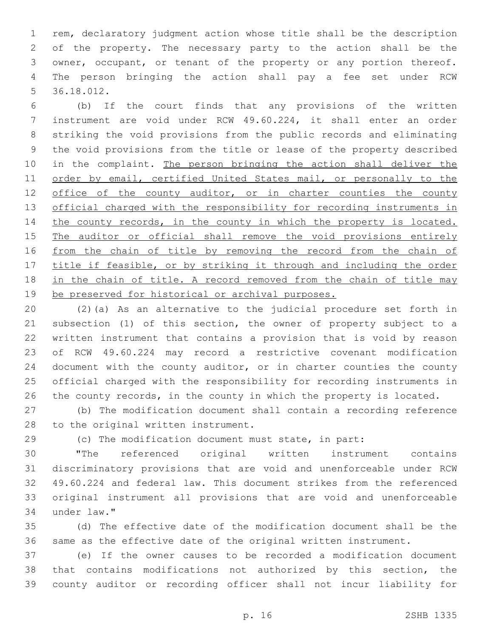rem, declaratory judgment action whose title shall be the description of the property. The necessary party to the action shall be the owner, occupant, or tenant of the property or any portion thereof. The person bringing the action shall pay a fee set under RCW 36.18.012.5

 (b) If the court finds that any provisions of the written instrument are void under RCW 49.60.224, it shall enter an order striking the void provisions from the public records and eliminating the void provisions from the title or lease of the property described 10 in the complaint. The person bringing the action shall deliver the 11 order by email, certified United States mail, or personally to the 12 office of the county auditor, or in charter counties the county official charged with the responsibility for recording instruments in 14 the county records, in the county in which the property is located. 15 The auditor or official shall remove the void provisions entirely 16 from the chain of title by removing the record from the chain of title if feasible, or by striking it through and including the order in the chain of title. A record removed from the chain of title may be preserved for historical or archival purposes.

 (2)(a) As an alternative to the judicial procedure set forth in subsection (1) of this section, the owner of property subject to a written instrument that contains a provision that is void by reason of RCW 49.60.224 may record a restrictive covenant modification 24 document with the county auditor, or in charter counties the county official charged with the responsibility for recording instruments in 26 the county records, in the county in which the property is located.

 (b) The modification document shall contain a recording reference 28 to the original written instrument.

(c) The modification document must state, in part:

 "The referenced original written instrument contains discriminatory provisions that are void and unenforceable under RCW 49.60.224 and federal law. This document strikes from the referenced original instrument all provisions that are void and unenforceable under law."34

 (d) The effective date of the modification document shall be the same as the effective date of the original written instrument.

 (e) If the owner causes to be recorded a modification document that contains modifications not authorized by this section, the county auditor or recording officer shall not incur liability for